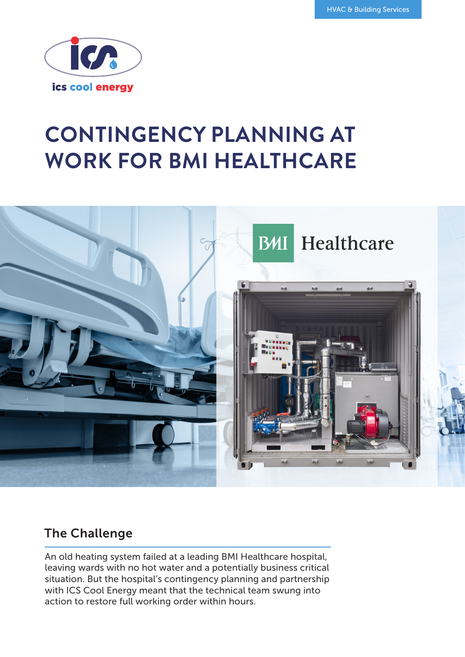

# **CONTINGENCY PLANNING AT WORK FOR BMI HEALTHCARE**



### The Challenge

An old heating system failed at a leading BMI Healthcare hospital, leaving wards with no hot water and a potentially business critical situation. But the hospital's contingency planning and partnership with ICS Cool Energy meant that the technical team swung into action to restore full working order within hours.